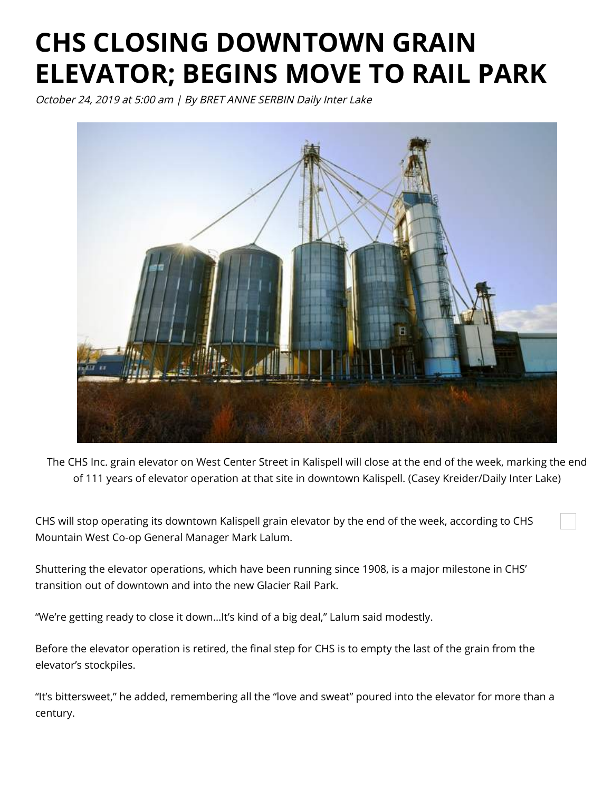## **CHS CLOSING DOWNTOWN GRAIN ELEVATOR; BEGINS MOVE TO RAIL PARK**

October 24, 2019 at 5:00 am | By BRET ANNE SERBIN Daily Inter Lake



The CHS Inc. grain elevator on West Center Street in Kalispell will close at the end of the week, marking the end of 111 years of elevator operation at that site in downtown Kalispell. (Casey Kreider/Daily Inter Lake)

CHS will stop operating its downtown Kalispell grain elevator by the end of the week, according to CHS Mountain West Co-op General Manager Mark Lalum.

Shuttering the elevator operations, which have been running since 1908, is a major milestone in CHS' transition out of downtown and into the new Glacier Rail Park.

"We're getting ready to close it down…It's kind of a big deal," Lalum said modestly.

Before the elevator operation is retired, the final step for CHS is to empty the last of the grain from the elevator's stockpiles.

"It's bittersweet," he added, remembering all the "love and sweat" poured into the elevator for more than a century.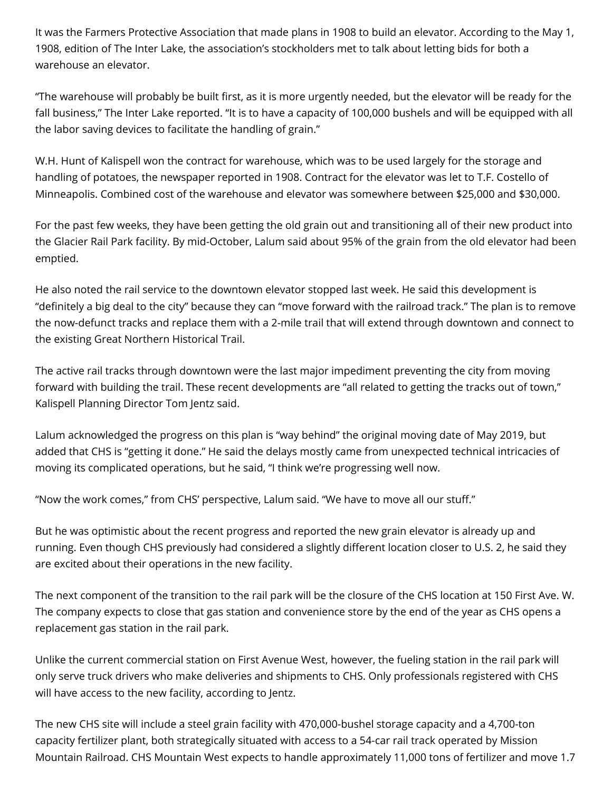It was the Farmers Protective Association that made plans in 1908 to build an elevator. According to the May 1, 1908, edition of The Inter Lake, the association's stockholders met to talk about letting bids for both a warehouse an elevator.

"The warehouse will probably be built first, as it is more urgently needed, but the elevator will be ready for the fall business," The Inter Lake reported. "It is to have a capacity of 100,000 bushels and will be equipped with all the labor saving devices to facilitate the handling of grain."

W.H. Hunt of Kalispell won the contract for warehouse, which was to be used largely for the storage and handling of potatoes, the newspaper reported in 1908. Contract for the elevator was let to T.F. Costello of Minneapolis. Combined cost of the warehouse and elevator was somewhere between \$25,000 and \$30,000.

For the past few weeks, they have been getting the old grain out and transitioning all of their new product into the Glacier Rail Park facility. By mid-October, Lalum said about 95% of the grain from the old elevator had been emptied.

He also noted the rail service to the downtown elevator stopped last week. He said this development is "definitely a big deal to the city" because they can "move forward with the railroad track." The plan is to remove the now-defunct tracks and replace them with a 2-mile trail that will extend through downtown and connect to the existing Great Northern Historical Trail.

The active rail tracks through downtown were the last major impediment preventing the city from moving forward with building the trail. These recent developments are "all related to getting the tracks out of town," Kalispell Planning Director Tom Jentz said.

Lalum acknowledged the progress on this plan is "way behind" the original moving date of May 2019, but added that CHS is "getting it done." He said the delays mostly came from unexpected technical intricacies of moving its complicated operations, but he said, "I think we're progressing well now.

"Now the work comes," from CHS' perspective, Lalum said. "We have to move all our stuff."

But he was optimistic about the recent progress and reported the new grain elevator is already up and running. Even though CHS previously had considered a slightly different location closer to U.S. 2, he said they are excited about their operations in the new facility.

The next component of the transition to the rail park will be the closure of the CHS location at 150 First Ave. W. The company expects to close that gas station and convenience store by the end of the year as CHS opens a replacement gas station in the rail park.

Unlike the current commercial station on First Avenue West, however, the fueling station in the rail park will only serve truck drivers who make deliveries and shipments to CHS. Only professionals registered with CHS will have access to the new facility, according to Jentz.

The new CHS site will include a steel grain facility with 470,000-bushel storage capacity and a 4,700-ton capacity fertilizer plant, both strategically situated with access to a 54-car rail track operated by Mission Mountain Railroad. CHS Mountain West expects to handle approximately 11,000 tons of fertilizer and move 1.7